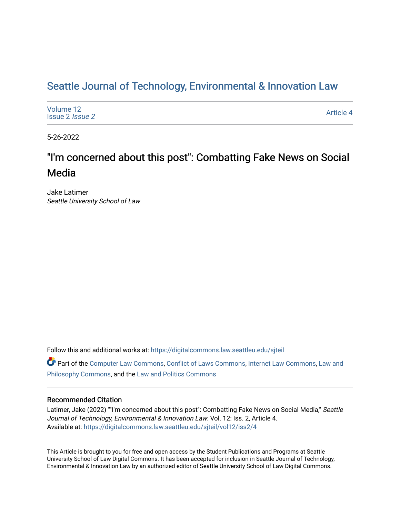# Seattle Journal of Technology, Environmental & Innovation Law

| Volume 12<br>Issue 2 <i>Issue 2</i> | <b>Article 4</b> |
|-------------------------------------|------------------|
|-------------------------------------|------------------|

5-26-2022

# "I'm concerned about this post": Combatting Fake News on Social Media

Jake Latimer Seattle University School of Law

Follow this and additional works at: [https://digitalcommons.law.seattleu.edu/sjteil](https://digitalcommons.law.seattleu.edu/sjteil?utm_source=digitalcommons.law.seattleu.edu%2Fsjteil%2Fvol12%2Fiss2%2F4&utm_medium=PDF&utm_campaign=PDFCoverPages)

Part of the [Computer Law Commons,](https://network.bepress.com/hgg/discipline/837?utm_source=digitalcommons.law.seattleu.edu%2Fsjteil%2Fvol12%2Fiss2%2F4&utm_medium=PDF&utm_campaign=PDFCoverPages) [Conflict of Laws Commons,](https://network.bepress.com/hgg/discipline/588?utm_source=digitalcommons.law.seattleu.edu%2Fsjteil%2Fvol12%2Fiss2%2F4&utm_medium=PDF&utm_campaign=PDFCoverPages) [Internet Law Commons,](https://network.bepress.com/hgg/discipline/892?utm_source=digitalcommons.law.seattleu.edu%2Fsjteil%2Fvol12%2Fiss2%2F4&utm_medium=PDF&utm_campaign=PDFCoverPages) [Law and](https://network.bepress.com/hgg/discipline/1299?utm_source=digitalcommons.law.seattleu.edu%2Fsjteil%2Fvol12%2Fiss2%2F4&utm_medium=PDF&utm_campaign=PDFCoverPages)  [Philosophy Commons,](https://network.bepress.com/hgg/discipline/1299?utm_source=digitalcommons.law.seattleu.edu%2Fsjteil%2Fvol12%2Fiss2%2F4&utm_medium=PDF&utm_campaign=PDFCoverPages) and the [Law and Politics Commons](https://network.bepress.com/hgg/discipline/867?utm_source=digitalcommons.law.seattleu.edu%2Fsjteil%2Fvol12%2Fiss2%2F4&utm_medium=PDF&utm_campaign=PDFCoverPages)

## Recommended Citation

Latimer, Jake (2022) ""I'm concerned about this post": Combatting Fake News on Social Media," Seattle Journal of Technology, Environmental & Innovation Law: Vol. 12: Iss. 2, Article 4. Available at: [https://digitalcommons.law.seattleu.edu/sjteil/vol12/iss2/4](https://digitalcommons.law.seattleu.edu/sjteil/vol12/iss2/4?utm_source=digitalcommons.law.seattleu.edu%2Fsjteil%2Fvol12%2Fiss2%2F4&utm_medium=PDF&utm_campaign=PDFCoverPages) 

This Article is brought to you for free and open access by the Student Publications and Programs at Seattle University School of Law Digital Commons. It has been accepted for inclusion in Seattle Journal of Technology, Environmental & Innovation Law by an authorized editor of Seattle University School of Law Digital Commons.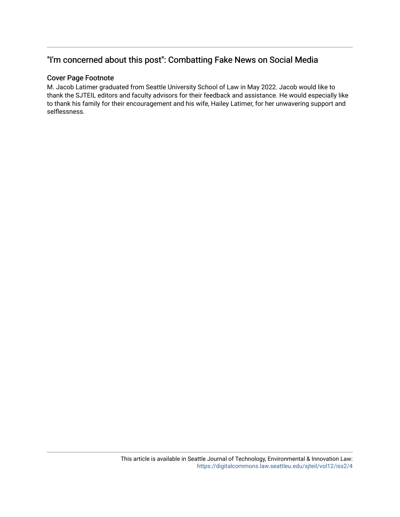# "I'm concerned about this post": Combatting Fake News on Social Media

## Cover Page Footnote

M. Jacob Latimer graduated from Seattle University School of Law in May 2022. Jacob would like to thank the SJTEIL editors and faculty advisors for their feedback and assistance. He would especially like to thank his family for their encouragement and his wife, Hailey Latimer, for her unwavering support and selflessness.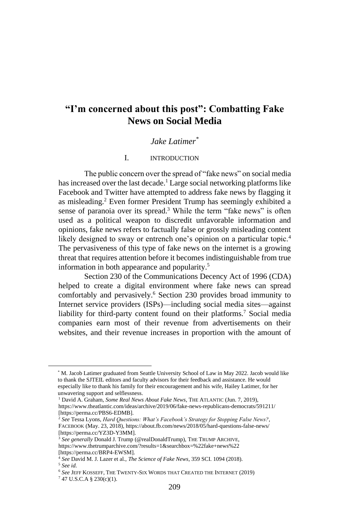# **"I'm concerned about this post": Combatting Fake News on Social Media**

## *Jake Latimer\**

#### I. INTRODUCTION

The public concern over the spread of "fake news" on social media has increased over the last decade.<sup>1</sup> Large social networking platforms like Facebook and Twitter have attempted to address fake news by flagging it as misleading.<sup>2</sup> Even former President Trump has seemingly exhibited a sense of paranoia over its spread.<sup>3</sup> While the term "fake news" is often used as a political weapon to discredit unfavorable information and opinions, fake news refers to factually false or grossly misleading content likely designed to sway or entrench one's opinion on a particular topic.<sup>4</sup> The pervasiveness of this type of fake news on the internet is a growing threat that requires attention before it becomes indistinguishable from true information in both appearance and popularity.<sup>5</sup>

Section 230 of the Communications Decency Act of 1996 (CDA) helped to create a digital environment where fake news can spread comfortably and pervasively.<sup>6</sup> Section 230 provides broad immunity to Internet service providers (ISPs)—including social media sites—against liability for third-party content found on their platforms.<sup>7</sup> Social media companies earn most of their revenue from advertisements on their websites, and their revenue increases in proportion with the amount of

<sup>\*</sup> M. Jacob Latimer graduated from Seattle University School of Law in May 2022. Jacob would like to thank the SJTEIL editors and faculty advisors for their feedback and assistance. He would especially like to thank his family for their encouragement and his wife, Hailey Latimer, for her unwavering support and selflessness.

<sup>&</sup>lt;sup>1</sup> David A. Graham, *Some Real News About Fake News*, THE ATLANTIC (Jun. 7, 2019), <https://www.theatlantic.com/ideas/archive/2019/06/fake-news-republicans-democrats/591211/> [https://perma.cc/PBS6-EDMB].

<sup>2</sup> *See* Tessa Lyons, *Hard Questions: What's Facebook's Strategy for Stopping False News?*, FACEBOOK (May. 23, 2018)[, https://about.fb.com/news/2018/05/hard-questions-false-news/](https://about.fb.com/news/2018/05/hard-questions-false-news/) [https://perma.cc/YZ3D-Y3MM].

<sup>&</sup>lt;sup>3</sup> See generally Donald J. Trump (@realDonaldTrump), THE TRUMP ARCHIVE, https://www.thetrumparchive.com/?results=1&searchbox=%22fake+news%22

<sup>[</sup>https://perma.cc/BRP4-EWSM].

<sup>4</sup> *See* David M. J. Lazer et al., *The Science of Fake News*, 359 SCI. 1094 (2018). <sup>5</sup> *See id*.

<sup>6</sup> *See* JEFF KOSSEFF, THE TWENTY-SIX WORDS THAT CREATED THE INTERNET (2019)

 $747$  U.S.C.A § 230(c)(1).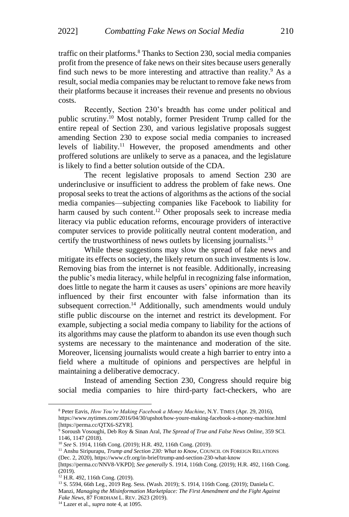traffic on their platforms.<sup>8</sup> Thanks to Section 230, social media companies profit from the presence of fake news on their sites because users generally find such news to be more interesting and attractive than reality.<sup>9</sup> As a result, social media companies may be reluctant to remove fake news from their platforms because it increases their revenue and presents no obvious costs.

Recently, Section 230's breadth has come under political and public scrutiny.<sup>10</sup> Most notably, former President Trump called for the entire repeal of Section 230, and various legislative proposals suggest amending Section 230 to expose social media companies to increased levels of liability.<sup>11</sup> However, the proposed amendments and other proffered solutions are unlikely to serve as a panacea, and the legislature is likely to find a better solution outside of the CDA.

The recent legislative proposals to amend Section 230 are underinclusive or insufficient to address the problem of fake news. One proposal seeks to treat the actions of algorithms as the actions of the social media companies—subjecting companies like Facebook to liability for harm caused by such content.<sup>12</sup> Other proposals seek to increase media literacy via public education reforms, encourage providers of interactive computer services to provide politically neutral content moderation, and certify the trustworthiness of news outlets by licensing journalists.<sup>13</sup>

While these suggestions may slow the spread of fake news and mitigate its effects on society, the likely return on such investments is low. Removing bias from the internet is not feasible. Additionally, increasing the public's media literacy, while helpful in recognizing false information, does little to negate the harm it causes as users' opinions are more heavily influenced by their first encounter with false information than its subsequent correction.<sup>14</sup> Additionally, such amendments would unduly stifle public discourse on the internet and restrict its development. For example, subjecting a social media company to liability for the actions of its algorithms may cause the platform to abandon its use even though such systems are necessary to the maintenance and moderation of the site. Moreover, licensing journalists would create a high barrier to entry into a field where a multitude of opinions and perspectives are helpful in maintaining a deliberative democracy.

Instead of amending Section 230, Congress should require big social media companies to hire third-party fact-checkers, who are

<sup>8</sup> Peter Eavis, *How You're Making Facebook a Money Machine*, N.Y. TIMES (Apr. 29, 2016),

<https://www.nytimes.com/2016/04/30/upshot/how-youre-making-facebook-a-money-machine.html> [https://perma.cc/QTX6-SZYR].

<sup>9</sup> Soroush Vosoughi, Deb Roy & Sinan Aral, *The Spread of True and False News Online*, 359 SCI. 1146, 1147 (2018).

<sup>10</sup> *See* S. 1914, 116th Cong. (2019); H.R. 492, 116th Cong. (2019).

<sup>&</sup>lt;sup>11</sup> Anshu Siripurapu, *Trump and Section 230: What to Know*, COUNCIL ON FOREIGN RELATIONS (Dec. 2, 2020)[, https://www.cfr.org/in-brief/trump-and-section-230-what-know](https://www.cfr.org/in-brief/trump-and-section-230-what-know)

<sup>[</sup>https://perma.cc/NNV8-VKPD]; *See generally* S. 1914, 116th Cong. (2019); H.R. 492, 116th Cong. (2019).

<sup>&</sup>lt;sup>12</sup> H.R. 492, 116th Cong. (2019).

<sup>13</sup> S. 5594, 66th Leg., 2019 Reg. Sess. (Wash. 2019); S. 1914, 116th Cong. (2019); Daniela C. Manzi, *Managing the Misinformation Marketplace: The First Amendment and the Fight Against Fake News*, 87 FORDHAM L. REV. 2623 (2019).

<sup>14</sup> Lazer et al., *supra* note 4, at 1095.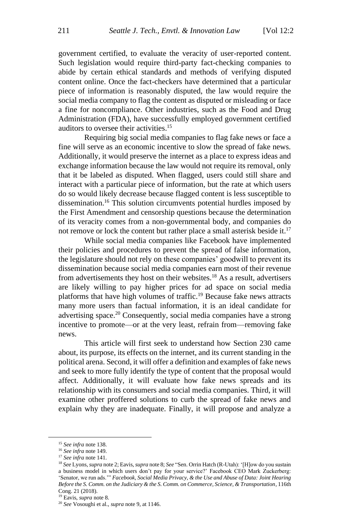government certified, to evaluate the veracity of user-reported content. Such legislation would require third-party fact-checking companies to abide by certain ethical standards and methods of verifying disputed content online. Once the fact-checkers have determined that a particular piece of information is reasonably disputed, the law would require the social media company to flag the content as disputed or misleading or face a fine for noncompliance. Other industries, such as the Food and Drug Administration (FDA), have successfully employed government certified auditors to oversee their activities. 15

Requiring big social media companies to flag fake news or face a fine will serve as an economic incentive to slow the spread of fake news. Additionally, it would preserve the internet as a place to express ideas and exchange information because the law would not require its removal, only that it be labeled as disputed. When flagged, users could still share and interact with a particular piece of information, but the rate at which users do so would likely decrease because flagged content is less susceptible to dissemination.<sup>16</sup> This solution circumvents potential hurdles imposed by the First Amendment and censorship questions because the determination of its veracity comes from a non-governmental body, and companies do not remove or lock the content but rather place a small asterisk beside it.<sup>17</sup>

While social media companies like Facebook have implemented their policies and procedures to prevent the spread of false information, the legislature should not rely on these companies' goodwill to prevent its dissemination because social media companies earn most of their revenue from advertisements they host on their websites.<sup>18</sup> As a result, advertisers are likely willing to pay higher prices for ad space on social media platforms that have high volumes of traffic.<sup>19</sup> Because fake news attracts many more users than factual information, it is an ideal candidate for advertising space.<sup>20</sup> Consequently, social media companies have a strong incentive to promote—or at the very least, refrain from—removing fake news.

This article will first seek to understand how Section 230 came about, its purpose, its effects on the internet, and its current standing in the political arena. Second, it will offer a definition and examples of fake news and seek to more fully identify the type of content that the proposal would affect. Additionally, it will evaluate how fake news spreads and its relationship with its consumers and social media companies. Third, it will examine other proffered solutions to curb the spread of fake news and explain why they are inadequate. Finally, it will propose and analyze a

<sup>15</sup> *See infra* note 138.

<sup>16</sup> *See infra* note 149.

<sup>17</sup> *See infra* note 141.

<sup>18</sup> *See* Lyons, *supra* note 2; Eavis, *supra* note 8; *See* "Sen. Orrin Hatch (R-Utah): '[H]ow do you sustain a business model in which users don't pay for your service?' Facebook CEO Mark Zuckerberg: 'Senator, we run ads.'" *Facebook, Social Media Privacy, & the Use and Abuse of Data: Joint Hearing Before the S. Comm. on the Judiciary & the S. Comm. on Commerce, Science, & Transportation*, 116th Cong. 21 (2018).

<sup>19</sup> Eavis, *supra* note 8.

<sup>20</sup> *See* Vosoughi et al., *supra* note 9, at 1146.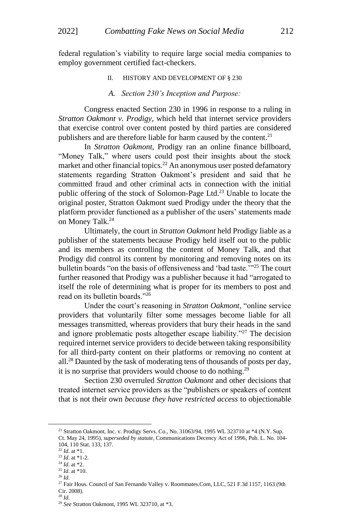federal regulation's viability to require large social media companies to employ government certified fact-checkers.

II. HISTORY AND DEVELOPMENT OF § 230

#### *A. Section 230's Inception and Purpose:*

Congress enacted Section 230 in 1996 in response to a ruling in *Stratton Oakmont v. Prodigy*, which held that internet service providers that exercise control over content posted by third parties are considered publishers and are therefore liable for harm caused by the content.<sup>21</sup>

In *Stratton Oakmont*, Prodigy ran an online finance billboard, "Money Talk," where users could post their insights about the stock market and other financial topics.<sup>22</sup> An anonymous user posted defamatory statements regarding Stratton Oakmont's president and said that he committed fraud and other criminal acts in connection with the initial public offering of the stock of Solomon-Page Ltd.<sup>23</sup> Unable to locate the original poster, Stratton Oakmont sued Prodigy under the theory that the platform provider functioned as a publisher of the users' statements made on Money Talk.<sup>24</sup>

Ultimately, the court in *Stratton Oakmont* held Prodigy liable as a publisher of the statements because Prodigy held itself out to the public and its members as controlling the content of Money Talk, and that Prodigy did control its content by monitoring and removing notes on its bulletin boards "on the basis of offensiveness and 'bad taste.'"<sup>25</sup> The court further reasoned that Prodigy was a publisher because it had "arrogated to itself the role of determining what is proper for its members to post and read on its bulletin boards."<sup>26</sup>

Under the court's reasoning in *Stratton Oakmont*, "online service providers that voluntarily filter some messages become liable for all messages transmitted, whereas providers that bury their heads in the sand and ignore problematic posts altogether escape liability."<sup>27</sup> The decision required internet service providers to decide between taking responsibility for all third-party content on their platforms or removing no content at all.<sup>28</sup> Daunted by the task of moderating tens of thousands of posts per day, it is no surprise that providers would choose to do nothing.<sup>29</sup>

Section 230 overruled *Stratton Oakmont* and other decisions that treated internet service providers as the "publishers or speakers of content that is not their own *because they have restricted access* to objectionable

<sup>&</sup>lt;sup>21</sup> Stratton Oakmont, Inc. v. Prodigy Servs. Co., No. 31063/94, 1995 WL 323710 at \*4 (N.Y. Sup. Ct. May 24, 1995), *superseded by statute*, Communications Decency Act of 1996, Pub. L. No. 104- 104, 110 Stat. 133, 137.

<sup>22</sup> *Id*. at \*1.

<sup>23</sup> *Id*. at \*1-2.

<sup>24</sup> *Id*. at \*2. <sup>25</sup> *Id*. at \*10.

<sup>26</sup> *Id*.

<sup>&</sup>lt;sup>27</sup> Fair Hous. Council of San Fernando Valley v. Roommates.Com, LLC, 521 F.3d 1157, 1163 (9th Cir. 2008).

<sup>28</sup> *Id*.

<sup>29</sup> *See* Stratton Oakmont, 1995 WL 323710, at \*3.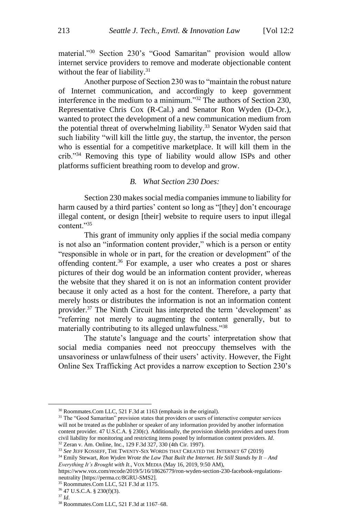material."<sup>30</sup> Section 230's "Good Samaritan" provision would allow internet service providers to remove and moderate objectionable content without the fear of liability. $31$ 

Another purpose of Section 230 was to "maintain the robust nature of Internet communication, and accordingly to keep government interference in the medium to a minimum."<sup>32</sup> The authors of Section 230, Representative Chris Cox (R-Cal.) and Senator Ron Wyden (D-Or.), wanted to protect the development of a new communication medium from the potential threat of overwhelming liability.<sup>33</sup> Senator Wyden said that such liability "will kill the little guy, the startup, the inventor, the person who is essential for a competitive marketplace. It will kill them in the crib."<sup>34</sup> Removing this type of liability would allow ISPs and other platforms sufficient breathing room to develop and grow.

#### *B. What Section 230 Does:*

Section 230 makes social media companies immune to liability for harm caused by a third parties' content so long as "[they] don't encourage illegal content, or design [their] website to require users to input illegal content."<sup>35</sup>

This grant of immunity only applies if the social media company is not also an "information content provider," which is a person or entity "responsible in whole or in part, for the creation or development" of the offending content.<sup>36</sup> For example, a user who creates a post or shares pictures of their dog would be an information content provider, whereas the website that they shared it on is not an information content provider because it only acted as a host for the content. Therefore, a party that merely hosts or distributes the information is not an information content provider.<sup>37</sup> The Ninth Circuit has interpreted the term 'development' as "referring not merely to augmenting the content generally, but to materially contributing to its alleged unlawfulness."<sup>38</sup>

The statute's language and the courts' interpretation show that social media companies need not preoccupy themselves with the unsavoriness or unlawfulness of their users' activity. However, the Fight Online Sex Trafficking Act provides a narrow exception to Section 230's

<sup>36</sup> 47 U.S.C.A. § 230(f)(3).

<sup>30</sup> Roommates.Com LLC, 521 F.3d at 1163 (emphasis in the original).

<sup>&</sup>lt;sup>31</sup> The "Good Samaritan" provision states that providers or users of interactive computer services will not be treated as the publisher or speaker of any information provided by another information content provider. 47 U.S.C.A. § 230(c). Additionally, the provision shields providers and users from civil liability for monitoring and restricting items posted by information content providers. *Id*. <sup>32</sup> Zeran v. Am. Online, Inc., 129 F.3d 327, 330 (4th Cir. 1997).

<sup>33</sup> *See* JEFF KOSSEFF, THE TWENTY-SIX WORDS THAT CREATED THE INTERNET 67 (2019)

<sup>34</sup> Emily Stewart, *Ron Wyden Wrote the Law That Built the Internet. He Still Stands by It – And Everything It's Brought with It*., VOX MEDIA (May 16, 2019, 9:50 AM),

[https://www.vox.com/recode/2019/5/16/18626779/ron-wyden-section-230-facebook-regulations](https://www.vox.com/recode/2019/5/16/18626779/ron-wyden-section-230-facebook-regulations-neutrality)[neutrality](https://www.vox.com/recode/2019/5/16/18626779/ron-wyden-section-230-facebook-regulations-neutrality) [https://perma.cc/8GRU-SMS2].

<sup>35</sup> Roommates.Com LLC, 521 F.3d at 1175.

<sup>37</sup> *Id*.

<sup>38</sup> Roommates.Com LLC, 521 F.3d at 1167–68.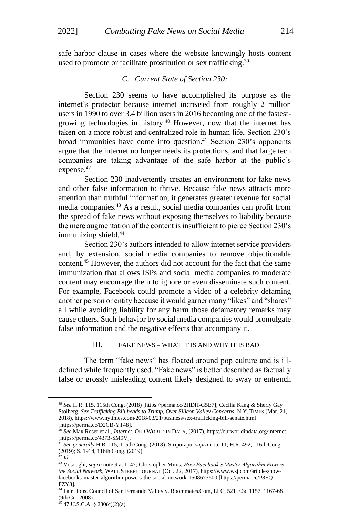safe harbor clause in cases where the website knowingly hosts content used to promote or facilitate prostitution or sex trafficking.<sup>39</sup>

#### *C. Current State of Section 230:*

Section 230 seems to have accomplished its purpose as the internet's protector because internet increased from roughly 2 million users in 1990 to over 3.4 billion users in 2016 becoming one of the fastestgrowing technologies in history. <sup>40</sup> However, now that the internet has taken on a more robust and centralized role in human life, Section 230's broad immunities have come into question.<sup>41</sup> Section 230's opponents argue that the internet no longer needs its protections, and that large tech companies are taking advantage of the safe harbor at the public's expense. 42

Section 230 inadvertently creates an environment for fake news and other false information to thrive. Because fake news attracts more attention than truthful information, it generates greater revenue for social media companies.<sup>43</sup> As a result, social media companies can profit from the spread of fake news without exposing themselves to liability because the mere augmentation of the content is insufficient to pierce Section 230's immunizing shield.<sup>44</sup>

Section 230's authors intended to allow internet service providers and, by extension, social media companies to remove objectionable content.<sup>45</sup> However, the authors did not account for the fact that the same immunization that allows ISPs and social media companies to moderate content may encourage them to ignore or even disseminate such content. For example, Facebook could promote a video of a celebrity defaming another person or entity because it would garner many "likes" and "shares" all while avoiding liability for any harm those defamatory remarks may cause others. Such behavior by social media companies would promulgate false information and the negative effects that accompany it.

#### III. FAKE NEWS – WHAT IT IS AND WHY IT IS BAD

The term "fake news" has floated around pop culture and is illdefined while frequently used. "Fake news" is better described as factually false or grossly misleading content likely designed to sway or entrench

<sup>39</sup> *See* H.R. 115, 115th Cong. (2018) [https://perma.cc/2HDH-G5E7]; Cecilia Kang & Sherly Gay Stolberg, *Sex Trafficking Bill heads to Trump, Over Silicon Valley Concerns*, N.Y. TIMES (Mar. 21, 2018)[, https://www.nytimes.com/2018/03/21/business/sex-trafficking-bill-senate.html](https://www.nytimes.com/2018/03/21/business/sex-trafficking-bill-senate.html) [https://perma.cc/D2CB-YT48].

<sup>40</sup> *See* Max Roser et al., *Internet*, OUR WORLD IN DATA, (2017)[, https://ourworldindata.org/internet](https://ourworldindata.org/internet) [https://perma.cc/4373-SM9V].

<sup>41</sup> *See generally* H.R. 115, 115th Cong. (2018); Siripurapu, *supra* note 11; H.R. 492, 116th Cong. (2019); S. 1914, 116th Cong. (2019).

<sup>42</sup> *Id*.

<sup>43</sup> Vosoughi, *supra* note 9 at 1147; Christopher Mims, *How Facebook's Master Algorithm Powers the Social Network*, WALL STREET JOURNAL (Oct. 22, 2017)[, https://www.wsj.com/articles/how](https://www.wsj.com/articles/how-facebooks-master-algorithm-powers-the-social-network-1508673600)[facebooks-master-algorithm-powers-the-social-network-1508673600](https://www.wsj.com/articles/how-facebooks-master-algorithm-powers-the-social-network-1508673600) [https://perma.cc/P8EQ-FZY8].

<sup>44</sup> Fair Hous. Council of San Fernando Valley v. Roommates.Com, LLC, 521 F.3d 1157, 1167-68 (9th Cir. 2008).

<sup>45</sup> 47 U.S.C.A. § 230(c)(2)(a).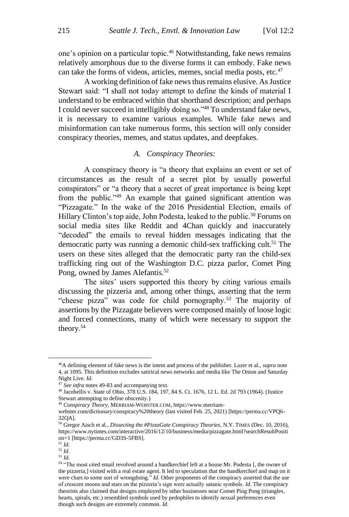one's opinion on a particular topic.<sup>46</sup> Notwithstanding, fake news remains relatively amorphous due to the diverse forms it can embody. Fake news can take the forms of videos, articles, memes, social media posts, etc.<sup>47</sup>

A working definition of fake news thus remains elusive. As Justice Stewart said: "I shall not today attempt to define the kinds of material I understand to be embraced within that shorthand description; and perhaps I could never succeed in intelligibly doing so."<sup>48</sup> To understand fake news, it is necessary to examine various examples. While fake news and misinformation can take numerous forms, this section will only consider conspiracy theories, memes, and status updates, and deepfakes.

#### *A. Conspiracy Theories:*

A conspiracy theory is "a theory that explains an event or set of circumstances as the result of a secret plot by usually powerful conspirators" or "a theory that a secret of great importance is being kept from the public."<sup>49</sup> An example that gained significant attention was "Pizzagate." In the wake of the 2016 Presidential Election, emails of Hillary Clinton's top aide, John Podesta, leaked to the public.<sup>50</sup> Forums on social media sites like Reddit and 4Chan quickly and inaccurately "decoded" the emails to reveal hidden messages indicating that the democratic party was running a demonic child-sex trafficking cult.<sup>51</sup> The users on these sites alleged that the democratic party ran the child-sex trafficking ring out of the Washington D.C. pizza parlor, Comet Ping Pong, owned by James Alefantis.<sup>52</sup>

The sites' users supported this theory by citing various emails discussing the pizzeria and, among other things, asserting that the term "cheese pizza" was code for child pornography.<sup>53</sup> The majority of assertions by the Pizzagate believers were composed mainly of loose logic and forced connections, many of which were necessary to support the theory.<sup>54</sup>

<sup>46</sup>A defining element of fake news is the intent and process of the publisher. Lazer et al., *supra* note 4, at 1095. This definition excludes satirical news networks and media like The Onion and Saturday Night Live. *Id*.

<sup>&</sup>lt;sup>47</sup> See infra notes 49-83 and accompanying text.

<sup>48</sup> Jacobellis v. State of Ohio, 378 U.S. 184, 197, 84 S. Ct. 1676, 12 L. Ed. 2d 793 (1964). (Justice Stewart attempting to define obscenity.)

<sup>49</sup> *Conspiracy Theory*, MERRIAM-WEBSTER.COM, https://www.merriam-

webster.com/dictionary/conspiracy%20theory (last visited Feb. 25, 2021) [https://perma.cc/VPQ6- 32QA].

<sup>50</sup> Gregor Aisch et al., *Dissecting the #PizzaGate Conspiracy Theories*, N.Y. TIMES (Dec. 10, 2016), [https://www.nytimes.com/interactive/2016/12/10/business/media/pizzagate.html?searchResultPositi](https://www.nytimes.com/interactive/2016/12/10/business/media/pizzagate.html?searchResultPosition=1) [on=1](https://www.nytimes.com/interactive/2016/12/10/business/media/pizzagate.html?searchResultPosition=1) [https://perma.cc/GD3S-5FBS].

<sup>51</sup> *Id*. <sup>52</sup> *Id*.

<sup>53</sup> *Id*.

<sup>54</sup> "The most cited email revolved around a handkerchief left at a house Mr. Podesta [, the owner of the pizzeria,] visited with a real estate agent. It led to speculation that the handkerchief and map on it were clues to some sort of wrongdoing." *Id*. Other proponents of the conspiracy asserted that the use of crescent moons and stars on the pizzeria's sign were actually satanic symbols. *Id*. The conspiracy theorists also claimed that designs employed by other businesses near Comet Ping Pong (triangles, hearts, spirals, etc.) resembled symbols used by pedophiles to identify sexual preferences even though such designs are extremely common. *Id*.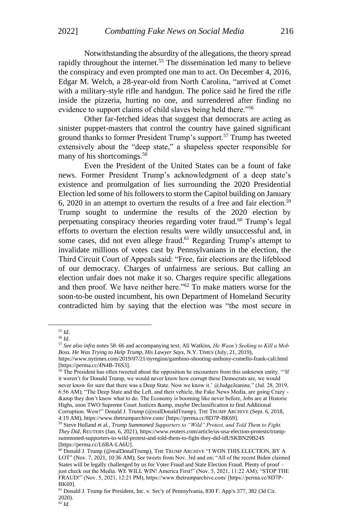Notwithstanding the absurdity of the allegations, the theory spread rapidly throughout the internet.<sup>55</sup> The dissemination led many to believe the conspiracy and even prompted one man to act. On December 4, 2016, Edgar M. Welch, a 28-year-old from North Carolina, "arrived at Comet with a military-style rifle and handgun. The police said he fired the rifle inside the pizzeria, hurting no one, and surrendered after finding no evidence to support claims of child slaves being held there."<sup>56</sup>

Other far-fetched ideas that suggest that democrats are acting as sinister puppet-masters that control the country have gained significant ground thanks to former President Trump's support.<sup>57</sup> Trump has tweeted extensively about the "deep state," a shapeless specter responsible for many of his shortcomings.<sup>58</sup>

Even the President of the United States can be a fount of fake news. Former President Trump's acknowledgment of a deep state's existence and promulgation of lies surrounding the 2020 Presidential Election led some of his followers to storm the Capitol building on January 6, 2020 in an attempt to overturn the results of a free and fair election.<sup>59</sup> Trump sought to undermine the results of the 2020 election by perpetuating conspiracy theories regarding voter fraud.<sup>60</sup> Trump's legal efforts to overturn the election results were wildly unsuccessful and, in some cases, did not even allege fraud.<sup>61</sup> Regarding Trump's attempt to invalidate millions of votes cast by Pennsylvanians in the election, the Third Circuit Court of Appeals said: "Free, fair elections are the lifeblood of our democracy. Charges of unfairness are serious. But calling an election unfair does not make it so. Charges require specific allegations and then proof. We have neither here."<sup>62</sup> To make matters worse for the soon-to-be ousted incumbent, his own Department of Homeland Security contradicted him by saying that the election was "the most secure in

<sup>55</sup> *Id*.

<sup>56</sup> *Id*.

<sup>57</sup> *See also infra* notes 58–66 and accompanying text; Ali Watkins, *He Wasn't Seeking to Kill a Mob Boss. He Was Trying to Help Trump, His Lawyer Says*, N.Y. TIMES (July, 21, 2019),

<https://www.nytimes.com/2019/07/21/nyregion/gambino-shooting-anthony-comello-frank-cali.html> [https://perma.cc/4N4B-T6S3].

<sup>&</sup>lt;sup>58</sup> The President has often tweeted about the opposition he encounters from this unknown entity. "'If it weren't for Donald Trump, we would never know how corrupt these Democrats are, we would never know for sure that there was a Deep State. Now we know it.' @JudgeJeanine." (Jul. 28, 2019, 6:56 AM); "The Deep State and the Left, and their vehicle, the Fake News Media, are going Crazy - &amp they don't know what to do. The Economy is booming like never before, Jobs are at Historic Highs, soon TWO Supreme Court Justices &amp, maybe Declassification to find Additional Corruption. Wow!" Donald J. Trump (@realDonaldTrump), THE TRUMP ARCHIVE (Sept. 6, 2018, 4:19 AM), https://www.thetrumparchive.com/ [https://perma.cc/8D7P-BK69].

<sup>59</sup> Steve Holland et al., *Trump Summoned Supporters to "Wild" Protest, and Told Them to Fight. They Did*, REUTERS (Jan. 6, 2021), [https://www.reuters.com/article/us-usa-election-protests/trump](https://www.reuters.com/article/us-usa-election-protests/trump-summoned-supporters-to-wild-protest-and-told-them-to-fight-they-did-idUSKBN29B24S)[summoned-supporters-to-wild-protest-and-told-them-to-fight-they-did-idUSKBN29B24S](https://www.reuters.com/article/us-usa-election-protests/trump-summoned-supporters-to-wild-protest-and-told-them-to-fight-they-did-idUSKBN29B24S) [https://perma.cc/L6BA-LA6U].

<sup>60</sup> Donald J. Trump (@realDonalTrump), THE TRUMP ARCHIVE "I WON THIS ELECTION, BY A LOT" (Nov. 7, 2021, 10:36 AM); *See* tweets from Nov. 3rd and on; "All of the recent Biden claimed States will be legally challenged by us for Voter Fraud and State Election Fraud. Plenty of proof – just check out the Media. WE WILL WIN! America First!" (Nov. 5, 2021, 11:22 AM); "STOP THE FRAUD!" (Nov. 5, 2021, 12:21 PM), https://www.thetrumparchive.com/ [https://perma.cc/8D7P-BK69].

<sup>61</sup> Donald J. Trump for President, Inc. v. Sec'y of Pennsylvania, 830 F. App'x 377, 382 (3d Cir. 2020).

<sup>62</sup> *Id*.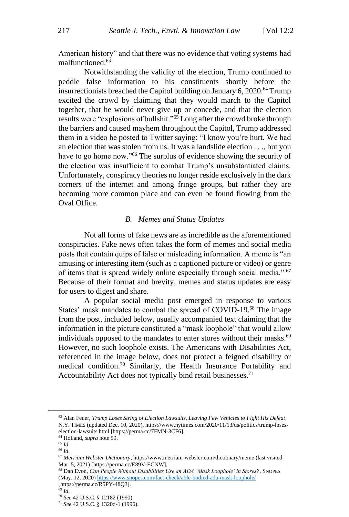American history" and that there was no evidence that voting systems had malfunctioned.<sup>63</sup>

Notwithstanding the validity of the election, Trump continued to peddle false information to his constituents shortly before the insurrectionists breached the Capitol building on January 6, 2020.<sup>64</sup> Trump excited the crowd by claiming that they would march to the Capitol together, that he would never give up or concede, and that the election results were "explosions of bullshit."<sup>65</sup> Long after the crowd broke through the barriers and caused mayhem throughout the Capitol, Trump addressed them in a video he posted to Twitter saying: "I know you're hurt. We had an election that was stolen from us. It was a landslide election . . ., but you have to go home now."<sup>66</sup> The surplus of evidence showing the security of the election was insufficient to combat Trump's unsubstantiated claims. Unfortunately, conspiracy theories no longer reside exclusively in the dark corners of the internet and among fringe groups, but rather they are becoming more common place and can even be found flowing from the Oval Office.

#### *B. Memes and Status Updates*

Not all forms of fake news are as incredible as the aforementioned conspiracies. Fake news often takes the form of memes and social media posts that contain quips of false or misleading information. A meme is "an amusing or interesting item (such as a captioned picture or video) or genre of items that is spread widely online especially through social media." <sup>67</sup> Because of their format and brevity, memes and status updates are easy for users to digest and share.

A popular social media post emerged in response to various States' mask mandates to combat the spread of COVID-19.<sup>68</sup> The image from the post, included below, usually accompanied text claiming that the information in the picture constituted a "mask loophole" that would allow individuals opposed to the mandates to enter stores without their masks.<sup>69</sup> However, no such loophole exists. The Americans with Disabilities Act, referenced in the image below, does not protect a feigned disability or medical condition.<sup>70</sup> Similarly, the Health Insurance Portability and Accountability Act does not typically bind retail businesses.<sup>71</sup>

<sup>63</sup> Alan Feuer, *Trump Loses String of Election Lawsuits, Leaving Few Vehicles to Fight His Defeat*, N.Y. TIMES (updated Dec. 10, 2020)[, https://www.nytimes.com/2020/11/13/us/politics/trump-loses](https://www.nytimes.com/2020/11/13/us/politics/trump-loses-election-lawsuits.html)[election-lawsuits.html](https://www.nytimes.com/2020/11/13/us/politics/trump-loses-election-lawsuits.html) [https://perma.cc/7FMN-3CF6].

<sup>64</sup> Holland, *supra* note 59.

<sup>65</sup> *Id*.

<sup>66</sup> *Id*.

<sup>67</sup> *Merriam Webster Dictionary*, <https://www.merriam-webster.com/dictionary/meme> (last visited Mar. 5, 2021) [https://perma.cc/E89V-ECNW].

<sup>68</sup> Dan Evon, *Can People Without Disabilities Use an ADA 'Mask Loophole' in Stores?*, SNOPES (May. 12, 2020) <https://www.snopes.com/fact-check/able-bodied-ada-mask-loophole/> [https://perma.cc/R5PY-48Q3].

<sup>69</sup> *Id*.

<sup>70</sup> *See* 42 U.S.C. § 12182 (1990).

<sup>71</sup> *See* 42 U.S.C. § 1320d-1 (1996).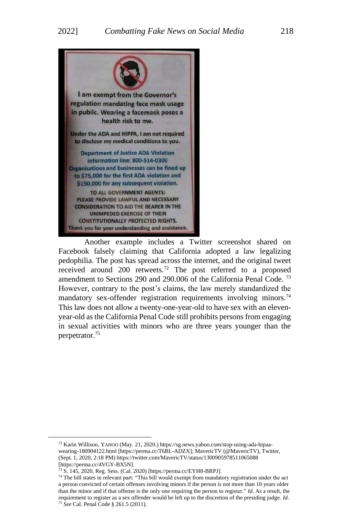

Another example includes a Twitter screenshot shared on Facebook falsely claiming that California adopted a law legalizing pedophilia. The post has spread across the internet, and the original tweet received around 200 retweets.<sup>72</sup> The post referred to a proposed amendment to Sections 290 and 290.006 of the California Penal Code. <sup>73</sup> However, contrary to the post's claims, the law merely standardized the mandatory sex-offender registration requirements involving minors.<sup>74</sup> This law does not allow a twenty-one-year-old to have sex with an elevenyear-old as the California Penal Code still prohibits persons from engaging in sexual activities with minors who are three years younger than the perpetrator.<sup>75</sup>

<sup>72</sup> Karin Willison, YAHOO (May. 21, 2020.) https://sg.news.yahoo.com/stop-using-ada-hipaawearing-180904122.html [https://perma.cc/T6BL-ADZX]; MavericTV (@MavericTV), Twitter, (Sept. 1, 2020, 2:18 PM[\) https://twitter.com/MavericTV/status/1300905978511065088](https://twitter.com/MavericTV/status/1300905978511065088) [https://perma.cc/4VGY-BX5N].

<sup>73</sup> S. 145, 2020, Reg. Sess. (Cal. 2020) [https://perma.cc/EYH8-BRPJ].

<sup>&</sup>lt;sup>74</sup> The bill states in relevant part: "This bill would exempt from mandatory registration under the act a person convicted of certain offenses involving minors if the person is not more than 10 years older than the minor and if that offense is the only one requiring the person to register." *Id*. As a result, the requirement to register as a sex offender would be left up to the discretion of the presiding judge. *Id*. <sup>75</sup> *See* Cal. Penal Code § 261.5 (2011).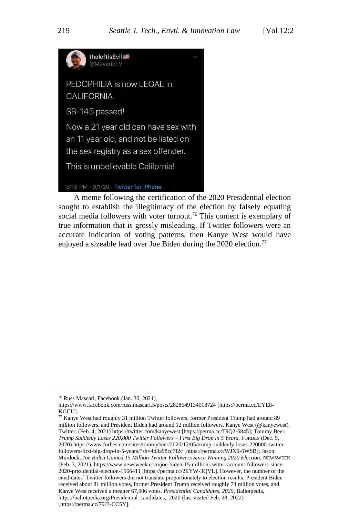

A meme following the certification of the 2020 Presidential election sought to establish the illegitimacy of the election by falsely equating social media followers with voter turnout.<sup>76</sup> This content is exemplary of true information that is grossly misleading. If Twitter followers were an accurate indication of voting patterns, then Kanye West would have enjoyed a sizeable lead over Joe Biden during the 2020 election.<sup>77</sup>

<sup>76</sup> Russ Mascari, Facebook (Jan. 30, 2021),

<https://www.facebook.com/russ.mascari.5/posts/2828649134018724> [https://perma.cc/EYE8- KGCU].

<sup>77</sup> Kanye West had roughly 31 million Twitter followers, former President Trump had around 89 million followers, and President Biden had around 12 million followers. Kanye West (@kanyewest), Twitter, (Feb. 4, 2021[\) https://twitter.com/kanyewest](https://twitter.com/kanyewest) [https://perma.cc/T9Q2-6845]; Tommy Beer, *Trump Suddenly Loses 220,000 Twitter Followers – First Big Drop in 5 Years*, FORBES (Dec. 5, 2020[\) https://www.forbes.com/sites/tommybeer/2020/12/05/trump-suddenly-loses-220000-twitter](https://www.forbes.com/sites/tommybeer/2020/12/05/trump-suddenly-loses-220000-twitter-followers-first-big-drop-in-5-years/?sh=4d3a98cc7f2c)[followers-first-big-drop-in-5-years/?sh=4d3a98cc7f2c](https://www.forbes.com/sites/tommybeer/2020/12/05/trump-suddenly-loses-220000-twitter-followers-first-big-drop-in-5-years/?sh=4d3a98cc7f2c) [https://perma.cc/WJX6-6WSB]; Jason Murdock, *Joe Biden Gained 15 Million Twitter Followers Since Winning 2020 Election*, NEWSWEEK (Feb. 3, 2021)[. https://www.newsweek.com/joe-biden-15-million-twitter-account-followers-since-](https://www.newsweek.com/joe-biden-15-million-twitter-account-followers-since-2020-presidential-election-1566411)[2020-presidential-election-1566411](https://www.newsweek.com/joe-biden-15-million-twitter-account-followers-since-2020-presidential-election-1566411) [https://perma.cc/2EYW-3QVL]. However, the number of the candidates' Twitter followers did not translate proportionately to election results; President Biden received about 81 million votes, former President Trump received roughly 74 million votes, and Kanye West received a meager 67,906 votes. *Presidential Candidates, 2020*, Ballotpedia, https://ballotpedia.org/Presidential\_candidates, 2020 (last visited Feb. 28, 2022) [https://perma.cc/79J3-CC5Y].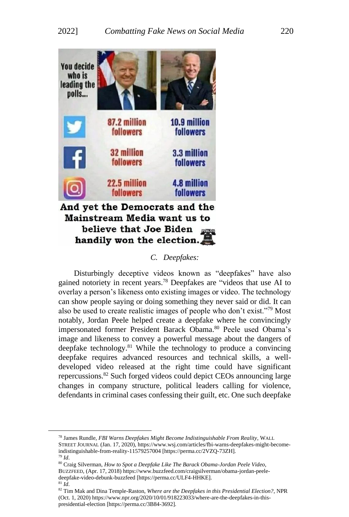

## *C. Deepfakes:*

Disturbingly deceptive videos known as "deepfakes" have also gained notoriety in recent years.<sup>78</sup> Deepfakes are "videos that use AI to overlay a person's likeness onto existing images or video. The technology can show people saying or doing something they never said or did. It can also be used to create realistic images of people who don't exist."<sup>79</sup> Most notably, Jordan Peele helped create a deepfake where he convincingly impersonated former President Barack Obama.<sup>80</sup> Peele used Obama's image and likeness to convey a powerful message about the dangers of deepfake technology. $81$  While the technology to produce a convincing deepfake requires advanced resources and technical skills, a welldeveloped video released at the right time could have significant repercussions.<sup>82</sup> Such forged videos could depict CEOs announcing large changes in company structure, political leaders calling for violence, defendants in criminal cases confessing their guilt, etc. One such deepfake

<sup>78</sup> James Rundle, *FBI Warns Deepfakes Might Become Indistinguishable From Reality*, WALL STREET JOURNAL (Jan. 17, 2020), [https://www.wsj.com/articles/fbi-warns-deepfakes-might-become](https://www.wsj.com/articles/fbi-warns-deepfakes-might-become-indistinguishable-from-reality-11579257004)[indistinguishable-from-reality-11579257004](https://www.wsj.com/articles/fbi-warns-deepfakes-might-become-indistinguishable-from-reality-11579257004) [https://perma.cc/2VZQ-73ZH]. <sup>79</sup> *Id*.

<sup>80</sup> Craig Silverman, *How to Spot a Deepfake Like The Barack Obama-Jordan Peele Video*,

BUZZFEED, (Apr. 17, 2018[\) https://www.buzzfeed.com/craigsilverman/obama-jordan-peele](https://www.buzzfeed.com/craigsilverman/obama-jordan-peele-deepfake-video-debunk-buzzfeed)[deepfake-video-debunk-buzzfeed](https://www.buzzfeed.com/craigsilverman/obama-jordan-peele-deepfake-video-debunk-buzzfeed) [https://perma.cc/ULF4-HHKE].

<sup>81</sup> *Id*.

<sup>82</sup> Tim Mak and Dina Temple-Raston, *Where are the Deepfakes in this Presidential Election?*, NPR (Oct. 1, 2020[\) https://www.npr.org/2020/10/01/918223033/where-are-the-deepfakes-in-this](https://www.npr.org/2020/10/01/918223033/where-are-the-deepfakes-in-this-presidential-election)[presidential-election](https://www.npr.org/2020/10/01/918223033/where-are-the-deepfakes-in-this-presidential-election) [https://perma.cc/3B84-3692].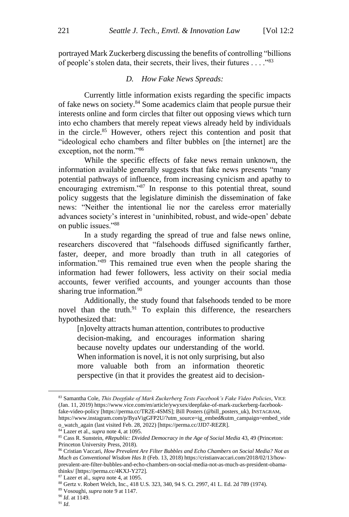portrayed Mark Zuckerberg discussing the benefits of controlling "billions of people's stolen data, their secrets, their lives, their futures . . . ."<sup>83</sup>

#### *D. How Fake News Spreads:*

Currently little information exists regarding the specific impacts of fake news on society.<sup>84</sup> Some academics claim that people pursue their interests online and form circles that filter out opposing views which turn into echo chambers that merely repeat views already held by individuals in the circle.<sup>85</sup> However, others reject this contention and posit that "ideological echo chambers and filter bubbles on [the internet] are the exception, not the norm."<sup>86</sup>

While the specific effects of fake news remain unknown, the information available generally suggests that fake news presents "many potential pathways of influence, from increasing cynicism and apathy to encouraging extremism."<sup>87</sup> In response to this potential threat, sound policy suggests that the legislature diminish the dissemination of fake news: "Neither the intentional lie nor the careless error materially advances society's interest in 'uninhibited, robust, and wide-open' debate on public issues."<sup>88</sup>

In a study regarding the spread of true and false news online, researchers discovered that "falsehoods diffused significantly farther, faster, deeper, and more broadly than truth in all categories of information."<sup>89</sup> This remained true even when the people sharing the information had fewer followers, less activity on their social media accounts, fewer verified accounts, and younger accounts than those sharing true information.<sup>90</sup>

Additionally, the study found that falsehoods tended to be more novel than the truth.<sup>91</sup> To explain this difference, the researchers hypothesized that:

[n]ovelty attracts human attention, contributes to productive decision-making, and encourages information sharing because novelty updates our understanding of the world. When information is novel, it is not only surprising, but also more valuable both from an information theoretic perspective (in that it provides the greatest aid to decision-

<sup>83</sup> Samantha Cole, *This Deepfake of Mark Zuckerberg Tests Facebook's Fake Video Policies*, VICE (Jan. 11, 2019[\) https://www.vice.com/en/article/ywyxex/deepfake-of-mark-zuckerberg-facebook](https://www.vice.com/en/article/ywyxex/deepfake-of-mark-zuckerberg-facebook-fake-video-policy)[fake-video-policy](https://www.vice.com/en/article/ywyxex/deepfake-of-mark-zuckerberg-facebook-fake-video-policy) [https://perma.cc/TR2E-4SMS]; Bill Posters (@bill\_posters\_uk), INSTAGRAM, [https://www.instagram.com/p/ByaVigGFP2U/?utm\\_source=ig\\_embed&utm\\_campaign=embed\\_vide](https://www.instagram.com/p/ByaVigGFP2U/?utm_source=ig_embed&utm_campaign=embed_video_watch_again) [o\\_watch\\_again](https://www.instagram.com/p/ByaVigGFP2U/?utm_source=ig_embed&utm_campaign=embed_video_watch_again) (last visited Feb. 28, 2022) [https://perma.cc/JJD7-REZR].

 $84$  Lazer et al., *supra* note 4, at 1095.

<sup>85</sup> Cass R. Sunstein, *#Republic: Divided Democracy in the Age of Social Media* 43, 49 (Princeton: Princeton University Press, 2018).

<sup>86</sup> Cristian Vaccari, *How Prevalent Are Filter Bubbles and Echo Chambers on Social Media? Not as Much as Conventional Wisdom Has It* (Feb. 13, 2018[\) https://cristianvaccari.com/2018/02/13/how](https://cristianvaccari.com/2018/02/13/how-prevalent-are-filter-bubbles-and-echo-chambers-on-social-media-not-as-much-as-president-obama-thinks/)[prevalent-are-filter-bubbles-and-echo-chambers-on-social-media-not-as-much-as-president-obama](https://cristianvaccari.com/2018/02/13/how-prevalent-are-filter-bubbles-and-echo-chambers-on-social-media-not-as-much-as-president-obama-thinks/)[thinks/](https://cristianvaccari.com/2018/02/13/how-prevalent-are-filter-bubbles-and-echo-chambers-on-social-media-not-as-much-as-president-obama-thinks/) [https://perma.cc/4KXJ-Y272].

<sup>87</sup> Lazer et al., *supra* note 4, at 1095.

<sup>88</sup> Gertz v. Robert Welch, Inc., 418 U.S. 323, 340, 94 S. Ct. 2997, 41 L. Ed. 2d 789 (1974).

<sup>89</sup> Vosoughi, *supra* note 9 at 1147.

<sup>90</sup> *Id*. at 1149.

<sup>91</sup> *Id*.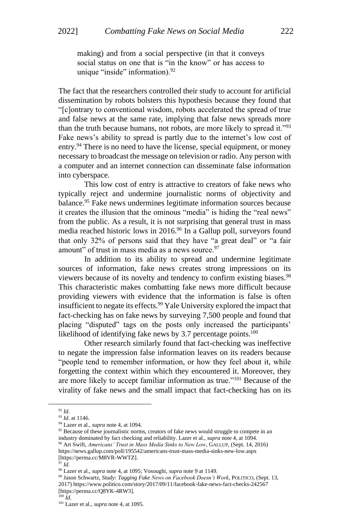making) and from a social perspective (in that it conveys social status on one that is "in the know" or has access to unique "inside" information).<sup>92</sup>

The fact that the researchers controlled their study to account for artificial dissemination by robots bolsters this hypothesis because they found that "[c]ontrary to conventional wisdom, robots accelerated the spread of true and false news at the same rate, implying that false news spreads more than the truth because humans, not robots, are more likely to spread it."<sup>93</sup> Fake news's ability to spread is partly due to the internet's low cost of entry.<sup>94</sup> There is no need to have the license, special equipment, or money necessary to broadcast the message on television or radio. Any person with a computer and an internet connection can disseminate false information into cyberspace.

This low cost of entry is attractive to creators of fake news who typically reject and undermine journalistic norms of objectivity and balance.<sup>95</sup> Fake news undermines legitimate information sources because it creates the illusion that the ominous "media" is hiding the "real news" from the public. As a result, it is not surprising that general trust in mass media reached historic lows in 2016.<sup>96</sup> In a Gallup poll, surveyors found that only 32% of persons said that they have "a great deal" or "a fair amount" of trust in mass media as a news source.<sup>97</sup>

In addition to its ability to spread and undermine legitimate sources of information, fake news creates strong impressions on its viewers because of its novelty and tendency to confirm existing biases.<sup>98</sup> This characteristic makes combatting fake news more difficult because providing viewers with evidence that the information is false is often insufficient to negate its effects.<sup>99</sup> Yale University explored the impact that fact-checking has on fake news by surveying 7,500 people and found that placing "disputed" tags on the posts only increased the participants' likelihood of identifying fake news by 3.7 percentage points.<sup>100</sup>

Other research similarly found that fact-checking was ineffective to negate the impression false information leaves on its readers because "people tend to remember information, or how they feel about it, while forgetting the context within which they encountered it. Moreover, they are more likely to accept familiar information as true."<sup>101</sup> Because of the virality of fake news and the small impact that fact-checking has on its

<sup>92</sup> *Id*.

<sup>93</sup> *Id*. at 1146.

<sup>94</sup> Lazer et al., *supra* note 4, at 1094.

<sup>&</sup>lt;sup>95</sup> Because of these journalistic norms, creators of fake news would struggle to compete in an industry dominated by fact checking and reliability. Lazer et al., *supra* note 4, at 1094.

<sup>96</sup> Art Swift, *Americans' Trust in Mass Media Sinks to New Low*, GALLUP, (Sept. 14, 2016) <https://news.gallup.com/poll/195542/americans-trust-mass-media-sinks-new-low.aspx> [https://perma.cc/M8VR-WWTZ].

<sup>97</sup> *Id*.

<sup>98</sup> Lazer et al., *supra* note 4, at 1095; Vosoughi, *supra* note 9 at 1149.

<sup>99</sup> Jason Schwartz, *Study: Tagging Fake News on Facebook Doesn't Work*, POLITICO, (Sept. 13, 2017[\) https://www.politico.com/story/2017/09/11/facebook-fake-news-fact-checks-242567](https://www.politico.com/story/2017/09/11/facebook-fake-news-fact-checks-242567) [https://perma.cc/Q8YK-4RW3].

 $\overline{100}$   $\overline{Id}$ .

<sup>101</sup> Lazer et al., *supra* note 4, at 1095.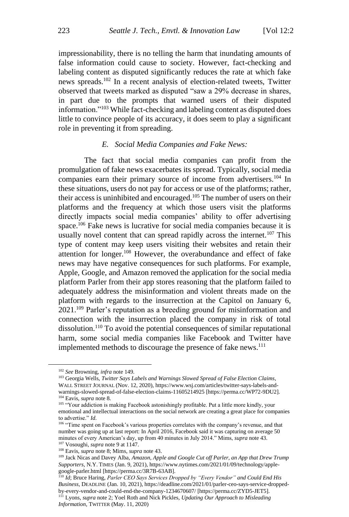impressionability, there is no telling the harm that inundating amounts of false information could cause to society. However, fact-checking and labeling content as disputed significantly reduces the rate at which fake news spreads.<sup>102</sup> In a recent analysis of election-related tweets, Twitter observed that tweets marked as disputed "saw a 29% decrease in shares, in part due to the prompts that warned users of their disputed information."<sup>103</sup> While fact-checking and labeling content as disputed does little to convince people of its accuracy, it does seem to play a significant role in preventing it from spreading.

#### *E. Social Media Companies and Fake News:*

The fact that social media companies can profit from the promulgation of fake news exacerbates its spread. Typically, social media companies earn their primary source of income from advertisers.<sup>104</sup> In these situations, users do not pay for access or use of the platforms; rather, their access is uninhibited and encouraged.<sup>105</sup> The number of users on their platforms and the frequency at which those users visit the platforms directly impacts social media companies' ability to offer advertising space.<sup>106</sup> Fake news is lucrative for social media companies because it is usually novel content that can spread rapidly across the internet.<sup>107</sup> This type of content may keep users visiting their websites and retain their attention for longer.<sup>108</sup> However, the overabundance and effect of fake news may have negative consequences for such platforms. For example, Apple, Google, and Amazon removed the application for the social media platform Parler from their app stores reasoning that the platform failed to adequately address the misinformation and violent threats made on the platform with regards to the insurrection at the Capitol on January 6, 2021.<sup>109</sup> Parler's reputation as a breeding ground for misinformation and connection with the insurrection placed the company in risk of total dissolution.<sup>110</sup> To avoid the potential consequences of similar reputational harm, some social media companies like Facebook and Twitter have implemented methods to discourage the presence of fake news.<sup>111</sup>

<sup>102</sup> *See* Browning, *infra* note 149.

<sup>103</sup> Georgia Wells, *Twitter Says Labels and Warnings Slowed Spread of False Election Claims*, WALL STREET JOURNAL (Nov. 12, 2020)[, https://www.wsj.com/articles/twitter-says-labels-and](https://www.wsj.com/articles/twitter-says-labels-and-warnings-slowed-spread-of-false-election-claims-11605214925)[warnings-slowed-spread-of-false-election-claims-11605214925](https://www.wsj.com/articles/twitter-says-labels-and-warnings-slowed-spread-of-false-election-claims-11605214925) [https://perma.cc/WP72-9DU2]. <sup>104</sup> Eavis, *supra* note 8.

<sup>&</sup>lt;sup>105</sup> "Your addiction is making Facebook astonishingly profitable. Put a little more kindly, your emotional and intellectual interactions on the social network are creating a great place for companies to advertise." *Id*.

<sup>&</sup>lt;sup>106</sup> "Time spent on Facebook's various properties correlates with the company's revenue, and that number was going up at last report: In April 2016, Facebook said it was capturing on average 50 minutes of every American's day, up from 40 minutes in July 2014." Mims, *supra* note 43. <sup>107</sup> Vosoughi, *supra* note 9 at 1147.

<sup>108</sup> Eavis, *supra* note 8; Mims, *supra* note 43.

<sup>109</sup> Jack Nicas and Davey Alba, *Amazon, Apple and Google Cut off Parler, an App that Drew Trump Supporters*, N.Y. TIMES (Jan. 9, 2021)[, https://www.nytimes.com/2021/01/09/technology/apple](https://www.nytimes.com/2021/01/09/technology/apple-google-parler.html)[google-parler.html](https://www.nytimes.com/2021/01/09/technology/apple-google-parler.html) [https://perma.cc/3R7B-63AB].

<sup>110</sup> *Id*; Bruce Haring, *Parler CEO Says Services Dropped by "Every Vendor" and Could End His Business*, DEADLINE (Jan. 10, 2021)[, https://deadline.com/2021/01/parler-ceo-says-service-dropped](https://deadline.com/2021/01/parler-ceo-says-service-dropped-by-every-vendor-and-could-end-the-company-1234670607/)[by-every-vendor-and-could-end-the-company-1234670607/](https://deadline.com/2021/01/parler-ceo-says-service-dropped-by-every-vendor-and-could-end-the-company-1234670607/) [https://perma.cc/ZYD5-JET5]. <sup>111</sup> Lyons, *supra* note 2; Yoel Roth and Nick Pickles, *Updating Our Approach to Misleading Information*, TWITTER (May. 11, 2020)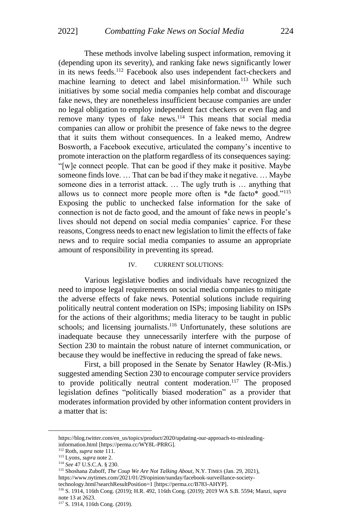These methods involve labeling suspect information, removing it (depending upon its severity), and ranking fake news significantly lower in its news feeds.<sup>112</sup> Facebook also uses independent fact-checkers and machine learning to detect and label misinformation.<sup>113</sup> While such initiatives by some social media companies help combat and discourage fake news, they are nonetheless insufficient because companies are under no legal obligation to employ independent fact checkers or even flag and remove many types of fake news.<sup>114</sup> This means that social media companies can allow or prohibit the presence of fake news to the degree that it suits them without consequences. In a leaked memo, Andrew Bosworth, a Facebook executive, articulated the company's incentive to promote interaction on the platform regardless of its consequences saying: "[w]e connect people. That can be good if they make it positive. Maybe someone finds love. … That can be bad if they make it negative. … Maybe someone dies in a terrorist attack. … The ugly truth is … anything that allows us to connect more people more often is \*de facto\* good."<sup>115</sup> Exposing the public to unchecked false information for the sake of connection is not de facto good, and the amount of fake news in people's lives should not depend on social media companies' caprice. For these reasons, Congress needs to enact new legislation to limit the effects of fake news and to require social media companies to assume an appropriate amount of responsibility in preventing its spread.

#### IV. CURRENT SOLUTIONS:

Various legislative bodies and individuals have recognized the need to impose legal requirements on social media companies to mitigate the adverse effects of fake news. Potential solutions include requiring politically neutral content moderation on ISPs; imposing liability on ISPs for the actions of their algorithms; media literacy to be taught in public schools; and licensing journalists.<sup>116</sup> Unfortunately, these solutions are inadequate because they unnecessarily interfere with the purpose of Section 230 to maintain the robust nature of internet communication, or because they would be ineffective in reducing the spread of fake news.

First, a bill proposed in the Senate by Senator Hawley (R-Mis.) suggested amending Section 230 to encourage computer service providers to provide politically neutral content moderation.<sup>117</sup> The proposed legislation defines "politically biased moderation" as a provider that moderates information provided by other information content providers in a matter that is:

[https://blog.twitter.com/en\\_us/topics/product/2020/updating-our-approach-to-misleading](https://blog.twitter.com/en_us/topics/product/2020/updating-our-approach-to-misleading-information.html)[information.html](https://blog.twitter.com/en_us/topics/product/2020/updating-our-approach-to-misleading-information.html) [https://perma.cc/WY8L-PRRG].

<sup>112</sup> Roth, *supra* note 111.

<sup>113</sup> Lyons, *supra* note 2.

<sup>114</sup> *See* 47 U.S.C.A. § 230.

<sup>115</sup> Shoshana Zuboff, *The Coup We Are Not Talking About*, N.Y. TIMES (Jan. 29, 2021), [https://www.nytimes.com/2021/01/29/opinion/sunday/facebook-surveillance-society](https://www.nytimes.com/2021/01/29/opinion/sunday/facebook-surveillance-society-technology.html?searchResultPosition=1)[technology.html?searchResultPosition=1](https://www.nytimes.com/2021/01/29/opinion/sunday/facebook-surveillance-society-technology.html?searchResultPosition=1) [https://perma.cc/B783-AHYP].

<sup>116</sup> S. 1914, 116th Cong. (2019); H.R. 492, 116th Cong. (2019); 2019 WA S.B. 5594; Manzi, *supra*  note 13 at 2623.

<sup>117</sup> S. 1914, 116th Cong. (2019).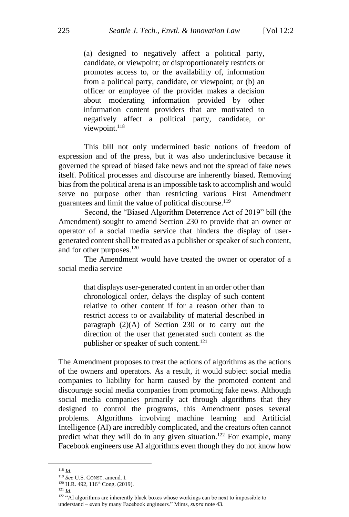(a) designed to negatively affect a political party, candidate, or viewpoint; or disproportionately restricts or promotes access to, or the availability of, information from a political party, candidate, or viewpoint; or (b) an officer or employee of the provider makes a decision about moderating information provided by other information content providers that are motivated to negatively affect a political party, candidate, or viewpoint.<sup>118</sup>

This bill not only undermined basic notions of freedom of expression and of the press, but it was also underinclusive because it governed the spread of biased fake news and not the spread of fake news itself. Political processes and discourse are inherently biased. Removing bias from the political arena is an impossible task to accomplish and would serve no purpose other than restricting various First Amendment guarantees and limit the value of political discourse.<sup>119</sup>

Second, the "Biased Algorithm Deterrence Act of 2019" bill (the Amendment) sought to amend Section 230 to provide that an owner or operator of a social media service that hinders the display of usergenerated content shall be treated as a publisher or speaker of such content, and for other purposes.<sup>120</sup>

The Amendment would have treated the owner or operator of a social media service

> that displays user-generated content in an order other than chronological order, delays the display of such content relative to other content if for a reason other than to restrict access to or availability of material described in paragraph (2)(A) of Section 230 or to carry out the direction of the user that generated such content as the publisher or speaker of such content.<sup>121</sup>

The Amendment proposes to treat the actions of algorithms as the actions of the owners and operators. As a result, it would subject social media companies to liability for harm caused by the promoted content and discourage social media companies from promoting fake news. Although social media companies primarily act through algorithms that they designed to control the programs, this Amendment poses several problems. Algorithms involving machine learning and Artificial Intelligence (AI) are incredibly complicated, and the creators often cannot predict what they will do in any given situation.<sup>122</sup> For example, many Facebook engineers use AI algorithms even though they do not know how

<sup>118</sup> *Id*.

<sup>119</sup> *See* U.S. CONST. amend. I.

<sup>&</sup>lt;sup>120</sup> H.R. 492, 116<sup>th</sup> Cong. (2019).

<sup>121</sup> *Id*.

<sup>&</sup>lt;sup>122</sup> "AI algorithms are inherently black boxes whose workings can be next to impossible to understand – even by many Facebook engineers." Mims, *supra* note 43.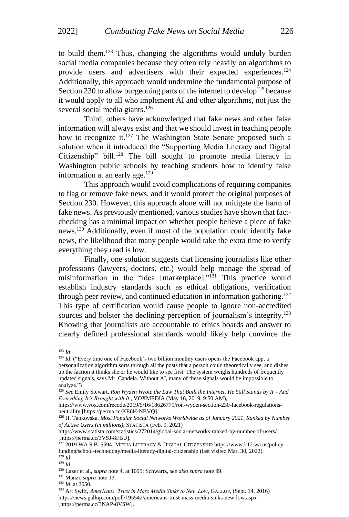to build them.<sup>123</sup> Thus, changing the algorithms would unduly burden social media companies because they often rely heavily on algorithms to provide users and advertisers with their expected experiences.<sup>124</sup> Additionally, this approach would undermine the fundamental purpose of Section 230 to allow burgeoning parts of the internet to develop<sup>125</sup> because it would apply to all who implement AI and other algorithms, not just the several social media giants.<sup>126</sup>

Third, others have acknowledged that fake news and other false information will always exist and that we should invest in teaching people how to recognize it.<sup>127</sup> The Washington State Senate proposed such a solution when it introduced the "Supporting Media Literacy and Digital Citizenship" bill.<sup>128</sup> The bill sought to promote media literacy in Washington public schools by teaching students how to identify false information at an early age. $129$ 

This approach would avoid complications of requiring companies to flag or remove fake news, and it would protect the original purposes of Section 230. However, this approach alone will not mitigate the harm of fake news. As previously mentioned, various studies have shown that factchecking has a minimal impact on whether people believe a piece of fake news.<sup>130</sup> Additionally, even if most of the population could identify fake news, the likelihood that many people would take the extra time to verify everything they read is low.

Finally, one solution suggests that licensing journalists like other professions (lawyers, doctors, etc.) would help manage the spread of misinformation in the "idea [marketplace]."<sup>131</sup> This practice would establish industry standards such as ethical obligations, verification through peer review, and continued education in information gathering.<sup>132</sup> This type of certification would cause people to ignore non-accredited sources and bolster the declining perception of journalism's integrity.<sup>133</sup> Knowing that journalists are accountable to ethics boards and answer to clearly defined professional standards would likely help convince the

<sup>123</sup> *Id*.

<sup>&</sup>lt;sup>124</sup> *Id.* ("Every time one of Facebook's two billion monthly users opens the Facebook app, a personalization algorithm sorts through all the posts that a person could theoretically see, and dishes up the faction it thinks she or he would like to see first. The system weighs hundreds of frequently updated signals, says Mr. Candela. Without AI, many of these signals would be impossible to analyze.")

<sup>125</sup> *See* Emily Stewart, *Ron Wyden Wrote the Law That Built the Internet. He Still Stands by It – And Everything It's Brought with It*., VOXMEDIA (May 16, 2019, 9:50 AM),

[https://www.vox.com/recode/2019/5/16/18626779/ron-wyden-section-230-facebook-regulations](https://www.vox.com/recode/2019/5/16/18626779/ron-wyden-section-230-facebook-regulations-neutrality)[neutrality](https://www.vox.com/recode/2019/5/16/18626779/ron-wyden-section-230-facebook-regulations-neutrality) [https://perma.cc/KE6H-NBVQ].

<sup>126</sup> H. Tankovska, *Most Popular Social Networks Worldwide as of January 2021, Ranked by Number of Active Users (in millions)*, STATISTA (Feb. 9, 2021)

https://www.statista.com/statistics/272014/global-social-networks-ranked-by-number-of-users/ [https://perma.cc/3VSJ-8FBU].

<sup>127</sup> 2019 WA S.B. 5594; MEDIA LITERACY & DIGITAL CITIZENSHIP [https://www.k12.wa.us/policy](https://www.k12.wa.us/policy-funding/school-technology/media-literacy-digital-citizenship)[funding/school-technology/media-literacy-digital-citizenship](https://www.k12.wa.us/policy-funding/school-technology/media-literacy-digital-citizenship) (last visited Mar. 30, 2022). <sup>128</sup> *Id*.

<sup>129</sup> *Id*.

<sup>130</sup> Lazer et al., *supra* note 4, at 1095; Schwartz, *see also supra* note 99.

<sup>131</sup> Manzi, *supra* note 13.

<sup>132</sup> *Id*. at 2650.

<sup>133</sup> Art Swift, *Americans' Trust in Mass Media Sinks to New Low*, GALLUP, (Sept. 14, 2016) <https://news.gallup.com/poll/195542/americans-trust-mass-media-sinks-new-low.aspx> [https://perma.cc/3NAP-8VSW].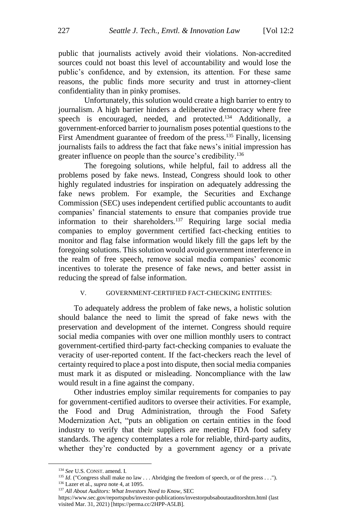public that journalists actively avoid their violations. Non-accredited sources could not boast this level of accountability and would lose the public's confidence, and by extension, its attention. For these same reasons, the public finds more security and trust in attorney-client confidentiality than in pinky promises.

Unfortunately, this solution would create a high barrier to entry to journalism. A high barrier hinders a deliberative democracy where free speech is encouraged, needed, and protected.<sup>134</sup> Additionally, a government-enforced barrier to journalism poses potential questions to the First Amendment guarantee of freedom of the press.<sup>135</sup> Finally, licensing journalists fails to address the fact that fake news's initial impression has greater influence on people than the source's credibility.<sup>136</sup>

The foregoing solutions, while helpful, fail to address all the problems posed by fake news. Instead, Congress should look to other highly regulated industries for inspiration on adequately addressing the fake news problem. For example, the Securities and Exchange Commission (SEC) uses independent certified public accountants to audit companies' financial statements to ensure that companies provide true information to their shareholders.<sup>137</sup> Requiring large social media companies to employ government certified fact-checking entities to monitor and flag false information would likely fill the gaps left by the foregoing solutions. This solution would avoid government interference in the realm of free speech, remove social media companies' economic incentives to tolerate the presence of fake news, and better assist in reducing the spread of false information.

#### V. GOVERNMENT-CERTIFIED FACT-CHECKING ENTITIES:

To adequately address the problem of fake news, a holistic solution should balance the need to limit the spread of fake news with the preservation and development of the internet. Congress should require social media companies with over one million monthly users to contract government-certified third-party fact-checking companies to evaluate the veracity of user-reported content. If the fact-checkers reach the level of certainty required to place a post into dispute, then social media companies must mark it as disputed or misleading. Noncompliance with the law would result in a fine against the company.

Other industries employ similar requirements for companies to pay for government-certified auditors to oversee their activities. For example, the Food and Drug Administration, through the Food Safety Modernization Act, "puts an obligation on certain entities in the food industry to verify that their suppliers are meeting FDA food safety standards. The agency contemplates a role for reliable, third-party audits, whether they're conducted by a government agency or a private

<sup>134</sup> *See* U.S. CONST. amend. I.

<sup>&</sup>lt;sup>135</sup> *Id.* ("Congress shall make no law . . . Abridging the freedom of speech, or of the press . . .").

<sup>136</sup> Lazer et al., *supra* note 4, at 1095.

<sup>137</sup> *All About Auditors: What Investors Need to Know*, SEC

<https://www.sec.gov/reportspubs/investor-publications/investorpubsaboutauditorshtm.html> (last visited Mar. 31, 2021) [https://perma.cc/2HPP-A5LB].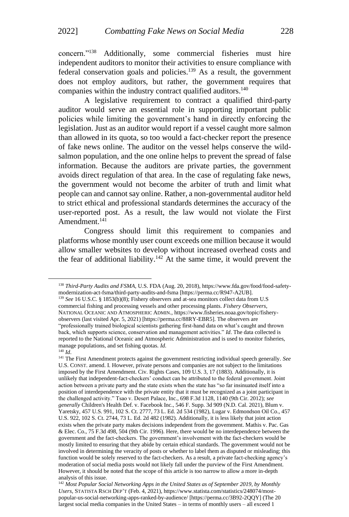concern."<sup>138</sup> Additionally, some commercial fisheries must hire independent auditors to monitor their activities to ensure compliance with federal conservation goals and policies.<sup>139</sup> As a result, the government does not employ auditors, but rather, the government requires that companies within the industry contract qualified auditors. 140

A legislative requirement to contract a qualified third-party auditor would serve an essential role in supporting important public policies while limiting the government's hand in directly enforcing the legislation. Just as an auditor would report if a vessel caught more salmon than allowed in its quota, so too would a fact-checker report the presence of fake news online. The auditor on the vessel helps conserve the wildsalmon population, and the one online helps to prevent the spread of false information. Because the auditors are private parties, the government avoids direct regulation of that area. In the case of regulating fake news, the government would not become the arbiter of truth and limit what people can and cannot say online. Rather, a non-governmental auditor held to strict ethical and professional standards determines the accuracy of the user-reported post. As a result, the law would not violate the First Amendment. 141

Congress should limit this requirement to companies and platforms whose monthly user count exceeds one million because it would allow smaller websites to develop without increased overhead costs and the fear of additional liability.<sup>142</sup> At the same time, it would prevent the

<sup>138</sup> *Third-Party Audits and FSMA,* U.S. FDA (Aug. 20, 2018), https://www.fda.gov/food/food-safetymodernization-act-fsma/third-party-audits-and-fsma [https://perma.cc/R947-A2UB].

<sup>&</sup>lt;sup>139</sup> See 16 U.S.C. § 1853(b)(8); Fishery observers and at-sea monitors collect data from U.S commercial fishing and processing vessels and other processing plants. *Fishery Observers*, NATIONAL OCEANIC AND ATMOSPHERIC ADMIN.[, https://www.fisheries.noaa.gov/topic/fishery](https://www.fisheries.noaa.gov/topic/fishery-observers)[observers](https://www.fisheries.noaa.gov/topic/fishery-observers) (last visited Apr. 5, 2021) [https://perma.cc/88RY-EBR5]. The observers are "professionally trained biological scientists gathering first-hand data on what's caught and thrown back, which supports science, conservation and management activities." *Id*. The data collected is reported to the National Oceanic and Atmospheric Administration and is used to monitor fisheries, manage populations, and set fishing quotas. *Id*.

<sup>140</sup> *Id*.

<sup>141</sup> The First Amendment protects against the government restricting individual speech generally. *See* U.S. CONST. amend. I. However, private persons and companies are not subject to the limitations imposed by the First Amendment. Civ. Rights Cases, 109 U.S. 3, 17 (1883). Additionally, it is unlikely that independent-fact-checkers' conduct can be attributed to the federal government. Joint action between a private party and the state exists when the state has "so far insinuated itself into a position of interdependence with the private entity that it must be recognized as a joint participant in the challenged activity." Tsao v. Desert Palace, Inc., 698 F.3d 1128, 1140 (9th Cir. 2012); *see generally* Children's Health Def. v. Facebook Inc., 546 F. Supp. 3d 909 (N.D. Cal. 2021), Blum v. Yaretsky, 457 U.S. 991, 102 S. Ct. 2777, 73 L. Ed. 2d 534 (1982), Lugar v. Edmondson Oil Co., 457 U.S. 922, 102 S. Ct. 2744, 73 L. Ed. 2d 482 (1982). Additionally, it is less likely that joint action exists when the private party makes decisions independent from the government. Mathis v. Pac. Gas & Elec. Co., 75 F.3d 498, 504 (9th Cir. 1996). Here, there would be no interdependence between the government and the fact-checkers. The government's involvement with the fact-checkers would be mostly limited to ensuring that they abide by certain ethical standards. The government would not be involved in determining the veracity of posts or whether to label them as disputed or misleading; this function would be solely reserved to the fact-checkers. As a result, a private fact-checking agency's moderation of social media posts would not likely fall under the purview of the First Amendment. However, it should be noted that the scope of this article is too narrow to allow a more in-depth analysis of this issue.

<sup>142</sup> *Most Popular Social Networking Apps in the United States as of September 2019, by Monthly Users*, STATISTA RSCH DEP'T (Feb. 4, 2021), https://www.statista.com/statistics/248074/mostpopular-us-social-networking-apps-ranked-by-audience/ [https://perma.cc/3B92-2QQY] (The 20 largest social media companies in the United States – in terms of monthly users – all exceed 1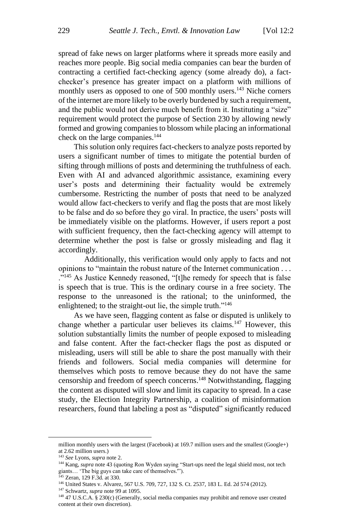spread of fake news on larger platforms where it spreads more easily and reaches more people. Big social media companies can bear the burden of contracting a certified fact-checking agency (some already do), a factchecker's presence has greater impact on a platform with millions of monthly users as opposed to one of 500 monthly users.<sup>143</sup> Niche corners of the internet are more likely to be overly burdened by such a requirement, and the public would not derive much benefit from it. Instituting a "size" requirement would protect the purpose of Section 230 by allowing newly formed and growing companies to blossom while placing an informational check on the large companies.<sup>144</sup>

This solution only requires fact-checkers to analyze posts reported by users a significant number of times to mitigate the potential burden of sifting through millions of posts and determining the truthfulness of each. Even with AI and advanced algorithmic assistance, examining every user's posts and determining their factuality would be extremely cumbersome. Restricting the number of posts that need to be analyzed would allow fact-checkers to verify and flag the posts that are most likely to be false and do so before they go viral. In practice, the users' posts will be immediately visible on the platforms. However, if users report a post with sufficient frequency, then the fact-checking agency will attempt to determine whether the post is false or grossly misleading and flag it accordingly.

Additionally, this verification would only apply to facts and not opinions to "maintain the robust nature of the Internet communication . . . ."<sup>145</sup> As Justice Kennedy reasoned, "[t]he remedy for speech that is false is speech that is true. This is the ordinary course in a free society. The response to the unreasoned is the rational; to the uninformed, the enlightened; to the straight-out lie, the simple truth."<sup>146</sup>

As we have seen, flagging content as false or disputed is unlikely to change whether a particular user believes its claims.<sup>147</sup> However, this solution substantially limits the number of people exposed to misleading and false content. After the fact-checker flags the post as disputed or misleading, users will still be able to share the post manually with their friends and followers. Social media companies will determine for themselves which posts to remove because they do not have the same censorship and freedom of speech concerns. <sup>148</sup> Notwithstanding, flagging the content as disputed will slow and limit its capacity to spread. In a case study, the Election Integrity Partnership, a coalition of misinformation researchers, found that labeling a post as "disputed" significantly reduced

million monthly users with the largest (Facebook) at 169.7 million users and the smallest (Google+) at 2.62 million users.)

<sup>143</sup> *See* Lyons, *supra* note 2.

<sup>&</sup>lt;sup>144</sup> Kang, *supra* note 43 (quoting Ron Wyden saying "Start-ups need the legal shield most, not tech giants… 'The big guys can take care of themselves.'").

<sup>145</sup> Zeran, 129 F.3d. at 330.

<sup>146</sup> United States v. Alvarez, 567 U.S. 709, 727, 132 S. Ct. 2537, 183 L. Ed. 2d 574 (2012).

<sup>147</sup> Schwartz, *supra* note 99 at 1095.

<sup>148</sup> 47 U.S.C.A. § 230(c) (Generally, social media companies may prohibit and remove user created content at their own discretion).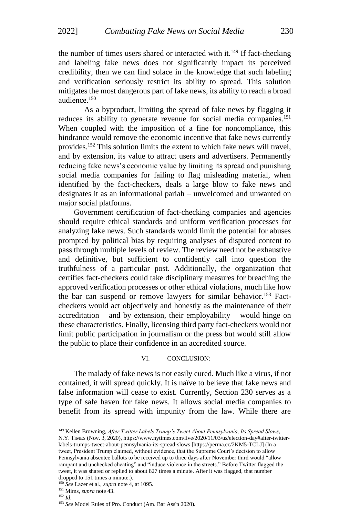the number of times users shared or interacted with it.<sup>149</sup> If fact-checking and labeling fake news does not significantly impact its perceived credibility, then we can find solace in the knowledge that such labeling and verification seriously restrict its ability to spread. This solution mitigates the most dangerous part of fake news, its ability to reach a broad audience.<sup>150</sup>

As a byproduct, limiting the spread of fake news by flagging it reduces its ability to generate revenue for social media companies.<sup>151</sup> When coupled with the imposition of a fine for noncompliance, this hindrance would remove the economic incentive that fake news currently provides.<sup>152</sup> This solution limits the extent to which fake news will travel, and by extension, its value to attract users and advertisers. Permanently reducing fake news's economic value by limiting its spread and punishing social media companies for failing to flag misleading material, when identified by the fact-checkers, deals a large blow to fake news and designates it as an informational pariah – unwelcomed and unwanted on major social platforms.

Government certification of fact-checking companies and agencies should require ethical standards and uniform verification processes for analyzing fake news. Such standards would limit the potential for abuses prompted by political bias by requiring analyses of disputed content to pass through multiple levels of review. The review need not be exhaustive and definitive, but sufficient to confidently call into question the truthfulness of a particular post. Additionally, the organization that certifies fact-checkers could take disciplinary measures for breaching the approved verification processes or other ethical violations, much like how the bar can suspend or remove lawyers for similar behavior.<sup>153</sup> Factcheckers would act objectively and honestly as the maintenance of their  $accreditation - and by extension, their employability - would hinge on$ these characteristics. Finally, licensing third party fact-checkers would not limit public participation in journalism or the press but would still allow the public to place their confidence in an accredited source.

#### VI. CONCLUSION:

The malady of fake news is not easily cured. Much like a virus, if not contained, it will spread quickly. It is naïve to believe that fake news and false information will cease to exist. Currently, Section 230 serves as a type of safe haven for fake news. It allows social media companies to benefit from its spread with impunity from the law. While there are

<sup>149</sup> Kellen Browning, *After Twitter Labels Trump's Tweet About Pennsylvania, Its Spread Slows*, N.Y. TIMES (Nov. 3, 2020), https://www.nytimes.com/live/2020/11/03/us/election-day#after-twitterlabels-trumps-tweet-about-pennsylvania-its-spread-slows [https://perma.cc/2KM5-TCLJ] (In a tweet, President Trump claimed, without evidence, that the Supreme Court's decision to allow Pennsylvania absentee ballots to be received up to three days after November third would "allow rampant and unchecked cheating" and "induce violence in the streets." Before Twitter flagged the tweet, it was shared or replied to about 827 times a minute. After it was flagged, that number dropped to 151 times a minute.).

<sup>150</sup> *See* Lazer et al., *supra* note 4, at 1095.

<sup>151</sup> Mims, *supra* note 43.

<sup>152</sup> *Id*.

<sup>153</sup> *See* Model Rules of Pro. Conduct (Am. Bar Ass'n 2020).